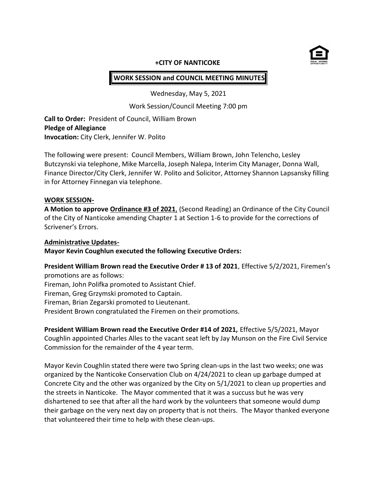

#### **+CITY OF NANTICOKE**

# **WORK SESSION and COUNCIL MEETING MINUTES**

Wednesday, May 5, 2021

Work Session/Council Meeting 7:00 pm

**Call to Order:** President of Council, William Brown **Pledge of Allegiance Invocation:** City Clerk, Jennifer W. Polito

The following were present: Council Members, William Brown, John Telencho, Lesley Butczynski via telephone, Mike Marcella, Joseph Nalepa, Interim City Manager, Donna Wall, Finance Director/City Clerk, Jennifer W. Polito and Solicitor, Attorney Shannon Lapsansky filling in for Attorney Finnegan via telephone.

#### **WORK SESSION-**

**A Motion to approve Ordinance #3 of 2021**, (Second Reading) an Ordinance of the City Council of the City of Nanticoke amending Chapter 1 at Section 1-6 to provide for the corrections of Scrivener's Errors.

#### **Administrative Updates-**

**Mayor Kevin Coughlun executed the following Executive Orders:**

**President William Brown read the Executive Order # 13 of 2021**, Effective 5/2/2021, Firemen's promotions are as follows:

Fireman, John Polifka promoted to Assistant Chief.

Fireman, Greg Grzymski promoted to Captain.

Fireman, Brian Zegarski promoted to Lieutenant.

President Brown congratulated the Firemen on their promotions.

**President William Brown read the Executive Order #14 of 2021,** Effective 5/5/2021, Mayor Coughlin appointed Charles Alles to the vacant seat left by Jay Munson on the Fire Civil Service Commission for the remainder of the 4 year term.

Mayor Kevin Coughlin stated there were two Spring clean-ups in the last two weeks; one was organized by the Nanticoke Conservation Club on 4/24/2021 to clean up garbage dumped at Concrete City and the other was organized by the City on 5/1/2021 to clean up properties and the streets in Nanticoke. The Mayor commented that it was a succuss but he was very dishartened to see that after all the hard work by the volunteers that someone would dump their garbage on the very next day on property that is not theirs. The Mayor thanked everyone that volunteered their time to help with these clean-ups.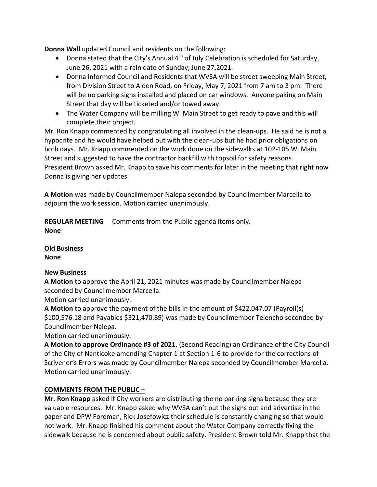**Donna Wall** updated Council and residents on the following:

- Donna stated that the City's Annual  $4^{th}$  of July Celebration is scheduled for Saturday, June 26, 2021 with a rain date of Sunday, June 27,2021.
- Donna informed Council and Residents that WVSA will be street sweeping Main Street, from Division Street to Alden Road, on Friday, May 7, 2021 from 7 am to 3 pm. There will be no parking signs installed and placed on car windows. Anyone paking on Main Street that day will be ticketed and/or towed away.
- The Water Company will be milling W. Main Street to get ready to pave and this will complete their project.

Mr. Ron Knapp commented by congratulating all involved in the clean-ups. He said he is not a hypocrite and he would have helped out with the clean-ups but he had prior obligations on both days. Mr. Knapp commented on the work done on the sidewalks at 102-105 W. Main Street and suggested to have the contractor backfill with topsoil for safety reasons. President Brown asked Mr. Knapp to save his comments for later in the meeting that right now Donna is giving her updates.

**A Motion** was made by Councilmember Nalepa seconded by Councilmember Marcella to adjourn the work session. Motion carried unanimously.

# **REGULAR MEETING** Comments from the Public agenda items only. **None**

**Old Business**

**None**

# **New Business**

**A Motion** to approve the April 21, 2021 minutes was made by Councilmember Nalepa seconded by Councilmember Marcella.

Motion carried unanimously.

**A Motion** to approve the payment of the bills in the amount of \$422,047.07 (Payroll(s) \$100,576.18 and Payables \$321,470.89) was made by Councilmember Telencho seconded by Councilmember Nalepa.

Motion carried unanimously.

**A Motion to approve Ordinance #3 of 2021**, (Second Reading) an Ordinance of the City Council of the City of Nanticoke amending Chapter 1 at Section 1-6 to provide for the corrections of Scrivener's Errors was made by Councilmember Nalepa seconded by Councilmember Marcella. Motion carried unanimously.

### **COMMENTS FROM THE PUBLIC –**

**Mr. Ron Knapp** asked if City workers are distributing the no parking signs because they are valuable resources. Mr. Knapp asked why WVSA can't put the signs out and advertise in the paper and DPW Foreman, Rick Josefowicz their schedule is constantly changing so that would not work. Mr. Knapp finished his comment about the Water Company correctly fixing the sidewalk because he is concerned about public safety. President Brown told Mr. Knapp that the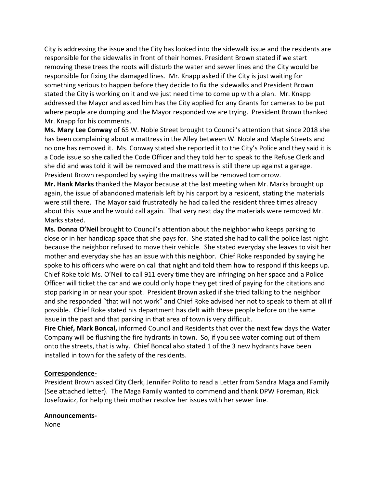City is addressing the issue and the City has looked into the sidewalk issue and the residents are responsible for the sidewalks in front of their homes. President Brown stated if we start removing these trees the roots will disturb the water and sewer lines and the City would be responsible for fixing the damaged lines. Mr. Knapp asked if the City is just waiting for something serious to happen before they decide to fix the sidewalks and President Brown stated the City is working on it and we just need time to come up with a plan. Mr. Knapp addressed the Mayor and asked him has the City applied for any Grants for cameras to be put where people are dumping and the Mayor responded we are trying. President Brown thanked Mr. Knapp for his comments.

**Ms. Mary Lee Conway** of 65 W. Noble Street brought to Council's attention that since 2018 she has been complaining about a mattress in the Alley between W. Noble and Maple Streets and no one has removed it. Ms. Conway stated she reported it to the City's Police and they said it is a Code issue so she called the Code Officer and they told her to speak to the Refuse Clerk and she did and was told it will be removed and the mattress is still there up against a garage. President Brown responded by saying the mattress will be removed tomorrow.

**Mr. Hank Marks** thanked the Mayor because at the last meeting when Mr. Marks brought up again, the issue of abandoned materials left by his carport by a resident, stating the materials were still there. The Mayor said frustratedly he had called the resident three times already about this issue and he would call again. That very next day the materials were removed Mr. Marks stated.

**Ms. Donna O'Neil** brought to Council's attention about the neighbor who keeps parking to close or in her handicap space that she pays for. She stated she had to call the police last night because the neighbor refused to move their vehicle. She stated everyday she leaves to visit her mother and everyday she has an issue with this neighbor. Chief Roke responded by saying he spoke to his officers who were on call that night and told them how to respond if this keeps up. Chief Roke told Ms. O'Neil to call 911 every time they are infringing on her space and a Police Officer will ticket the car and we could only hope they get tired of paying for the citations and stop parking in or near your spot. President Brown asked if she tried talking to the neighbor and she responded "that will not work" and Chief Roke advised her not to speak to them at all if possible. Chief Roke stated his department has delt with these people before on the same issue in the past and that parking in that area of town is very difficult.

**Fire Chief, Mark Boncal,** informed Council and Residents that over the next few days the Water Company will be flushing the fire hydrants in town. So, if you see water coming out of them onto the streets, that is why. Chief Boncal also stated 1 of the 3 new hydrants have been installed in town for the safety of the residents.

### **Correspondence-**

President Brown asked City Clerk, Jennifer Polito to read a Letter from Sandra Maga and Family (See attached letter). The Maga Family wanted to commend and thank DPW Foreman, Rick Josefowicz, for helping their mother resolve her issues with her sewer line.

### **Announcements-**

None